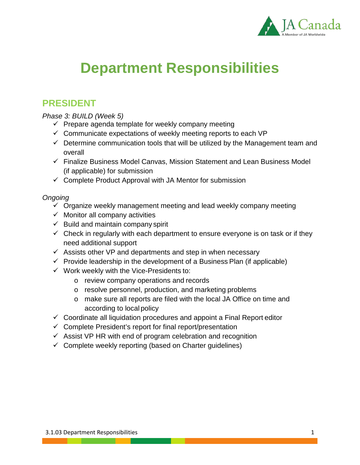

# **Department Responsibilities**

## **PRESIDENT**

*Phase 3: BUILD (Week 5)*

- $\checkmark$  Prepare agenda template for weekly company meeting
- $\checkmark$  Communicate expectations of weekly meeting reports to each VP
- $\checkmark$  Determine communication tools that will be utilized by the Management team and overall
- $\checkmark$  Finalize Business Model Canvas, Mission Statement and Lean Business Model (if applicable) for submission
- $\checkmark$  Complete Product Approval with JA Mentor for submission

- $\checkmark$  Organize weekly management meeting and lead weekly company meeting
- $\checkmark$  Monitor all company activities
- $\checkmark$  Build and maintain company spirit
- $\checkmark$  Check in regularly with each department to ensure everyone is on task or if they need additional support
- $\checkmark$  Assists other VP and departments and step in when necessary
- $\checkmark$  Provide leadership in the development of a Business Plan (if applicable)
- $\checkmark$  Work weekly with the Vice-Presidents to:
	- o review company operations and records
	- o resolve personnel, production, and marketing problems
	- o make sure all reports are filed with the local JA Office on time and according to local policy
- $\checkmark$  Coordinate all liquidation procedures and appoint a Final Report editor
- $\checkmark$  Complete President's report for final report/presentation
- $\checkmark$  Assist VP HR with end of program celebration and recognition
- $\checkmark$  Complete weekly reporting (based on Charter guidelines)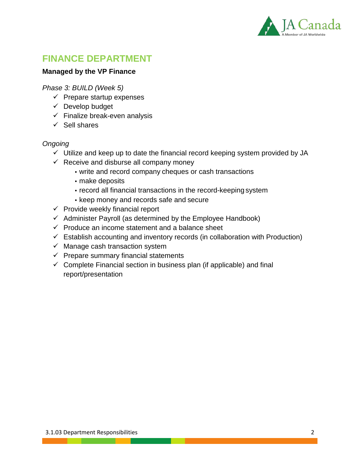

# **FINANCE DEPARTMENT**

#### **Managed by the VP Finance**

*Phase 3: BUILD (Week 5)*

- $\checkmark$  Prepare startup expenses
- $\checkmark$  Develop budget
- $\checkmark$  Finalize break-even analysis
- $\checkmark$  Sell shares

- $\checkmark$  Utilize and keep up to date the financial record keeping system provided by JA
- $\checkmark$  Receive and disburse all company money
	- write and record company cheques or cash transactions
	- make deposits
	- record all financial transactions in the record-keeping system
	- keep money and records safe and secure
- $\checkmark$  Provide weekly financial report
- $\checkmark$  Administer Payroll (as determined by the Employee Handbook)
- $\checkmark$  Produce an income statement and a balance sheet
- $\checkmark$  Establish accounting and inventory records (in collaboration with Production)
- $\checkmark$  Manage cash transaction system
- $\checkmark$  Prepare summary financial statements
- $\checkmark$  Complete Financial section in business plan (if applicable) and final report/presentation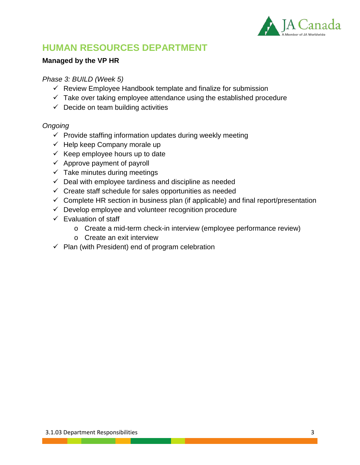

# **HUMAN RESOURCES DEPARTMENT**

#### **Managed by the VP HR**

#### *Phase 3: BUILD (Week 5)*

- $\checkmark$  Review Employee Handbook template and finalize for submission
- $\checkmark$  Take over taking employee attendance using the established procedure
- $\checkmark$  Decide on team building activities

- $\checkmark$  Provide staffing information updates during weekly meeting
- $\checkmark$  Help keep Company morale up
- $\checkmark$  Keep employee hours up to date
- $\checkmark$  Approve payment of payroll
- $\checkmark$  Take minutes during meetings
- $\checkmark$  Deal with employee tardiness and discipline as needed
- $\checkmark$  Create staff schedule for sales opportunities as needed
- $\checkmark$  Complete HR section in business plan (if applicable) and final report/presentation
- $\checkmark$  Develop employee and volunteer recognition procedure
- $\checkmark$  Evaluation of staff
	- o Create a mid-term check-in interview (employee performance review)
	- o Create an exit interview
- $\checkmark$  Plan (with President) end of program celebration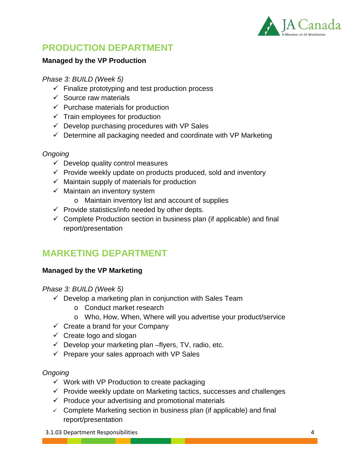

# **PRODUCTION DEPARTMENT**

#### **Managed by the VP Production**

#### *Phase 3: BUILD (Week 5)*

- $\checkmark$  Finalize prototyping and test production process
- $\checkmark$  Source raw materials
- $\checkmark$  Purchase materials for production
- $\checkmark$  Train employees for production
- $\checkmark$  Develop purchasing procedures with VP Sales
- $\checkmark$  Determine all packaging needed and coordinate with VP Marketing

#### *Ongoing*

- $\checkmark$  Develop quality control measures
- $\checkmark$  Provide weekly update on products produced, sold and inventory
- $\checkmark$  Maintain supply of materials for production
- $\checkmark$  Maintain an inventory system
	- o Maintain inventory list and account of supplies
- $\checkmark$  Provide statistics/info needed by other depts.
- $\checkmark$  Complete Production section in business plan (if applicable) and final report/presentation

# **MARKETING DEPARTMENT**

#### **Managed by the VP Marketing**

*Phase 3: BUILD (Week 5)*

- $\checkmark$  Develop a marketing plan in conjunction with Sales Team
	- o Conduct market research
	- o Who, How, When, Where will you advertise your product/service
- $\checkmark$  Create a brand for your Company
- $\checkmark$  Create logo and slogan
- $\checkmark$  Develop your marketing plan –flyers, TV, radio, etc.
- $\checkmark$  Prepare your sales approach with VP Sales

#### *Ongoing*

- $\checkmark$  Work with VP Production to create packaging
- $\checkmark$  Provide weekly update on Marketing tactics, successes and challenges
- $\checkmark$  Produce your advertising and promotional materials
- $\checkmark$  Complete Marketing section in business plan (if applicable) and final report/presentation

3.1.03 Department Responsibilities 4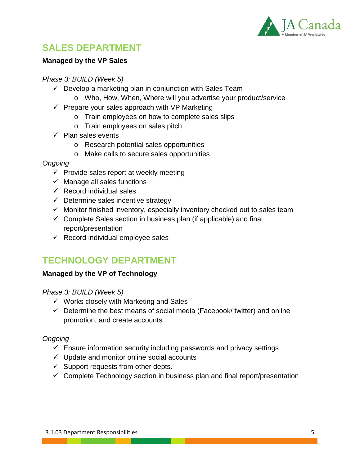

# **SALES DEPARTMENT**

#### **Managed by the VP Sales**

#### *Phase 3: BUILD (Week 5)*

- $\checkmark$  Develop a marketing plan in conjunction with Sales Team
	- o Who, How, When, Where will you advertise your product/service
- $\checkmark$  Prepare your sales approach with VP Marketing
	- o Train employees on how to complete sales slips
	- o Train employees on sales pitch
- $\checkmark$  Plan sales events
	- o Research potential sales opportunities
	- o Make calls to secure sales opportunities

#### *Ongoing*

- $\checkmark$  Provide sales report at weekly meeting
- $\checkmark$  Manage all sales functions
- $\checkmark$  Record individual sales
- $\checkmark$  Determine sales incentive strategy
- $\checkmark$  Monitor finished inventory, especially inventory checked out to sales team
- $\checkmark$  Complete Sales section in business plan (if applicable) and final report/presentation
- $\checkmark$  Record individual employee sales

# **TECHNOLOGY DEPARTMENT**

#### **Managed by the VP of Technology**

#### *Phase 3: BUILD (Week 5)*

- $\checkmark$  Works closely with Marketing and Sales
- $\checkmark$  Determine the best means of social media (Facebook/ twitter) and online promotion, and create accounts

- $\checkmark$  Ensure information security including passwords and privacy settings
- $\checkmark$  Update and monitor online social accounts
- $\checkmark$  Support requests from other depts.
- $\checkmark$  Complete Technology section in business plan and final report/presentation